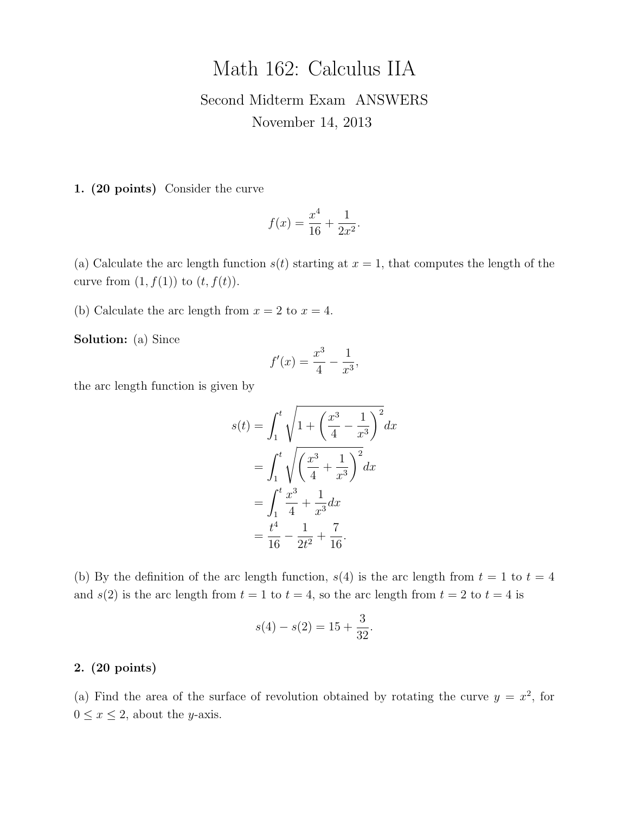## Math 162: Calculus IIA

## Second Midterm Exam ANSWERS November 14, 2013

1. (20 points) Consider the curve

$$
f(x) = \frac{x^4}{16} + \frac{1}{2x^2}.
$$

(a) Calculate the arc length function  $s(t)$  starting at  $x = 1$ , that computes the length of the curve from  $(1, f(1))$  to  $(t, f(t))$ .

(b) Calculate the arc length from  $x = 2$  to  $x = 4$ .

Solution: (a) Since

$$
f'(x) = \frac{x^3}{4} - \frac{1}{x^3},
$$

the arc length function is given by

$$
s(t) = \int_1^t \sqrt{1 + \left(\frac{x^3}{4} - \frac{1}{x^3}\right)^2} dx
$$
  
= 
$$
\int_1^t \sqrt{\left(\frac{x^3}{4} + \frac{1}{x^3}\right)^2} dx
$$
  
= 
$$
\int_1^t \frac{x^3}{4} + \frac{1}{x^3} dx
$$
  
= 
$$
\frac{t^4}{16} - \frac{1}{2t^2} + \frac{7}{16}.
$$

(b) By the definition of the arc length function,  $s(4)$  is the arc length from  $t = 1$  to  $t = 4$ and  $s(2)$  is the arc length from  $t = 1$  to  $t = 4$ , so the arc length from  $t = 2$  to  $t = 4$  is

$$
s(4) - s(2) = 15 + \frac{3}{32}.
$$

## 2. (20 points)

(a) Find the area of the surface of revolution obtained by rotating the curve  $y = x^2$ , for  $0 \leq x \leq 2$ , about the *y*-axis.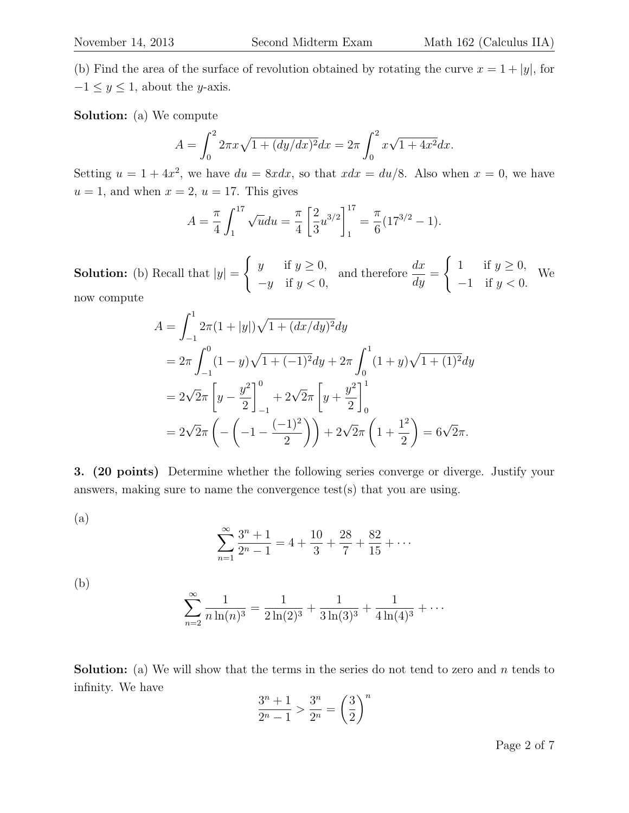(b) Find the area of the surface of revolution obtained by rotating the curve  $x = 1 + |y|$ , for  $-1 \leq y \leq 1$ , about the y-axis.

Solution: (a) We compute

$$
A = \int_0^2 2\pi x \sqrt{1 + (dy/dx)^2} dx = 2\pi \int_0^2 x \sqrt{1 + 4x^2} dx.
$$

Setting  $u = 1 + 4x^2$ , we have  $du = 8x dx$ , so that  $xdx = du/8$ . Also when  $x = 0$ , we have  $u = 1$ , and when  $x = 2$ ,  $u = 17$ . This gives

$$
A = \frac{\pi}{4} \int_1^{17} \sqrt{u} du = \frac{\pi}{4} \left[ \frac{2}{3} u^{3/2} \right]_1^{17} = \frac{\pi}{6} (17^{3/2} - 1).
$$

**Solution:** (b) Recall that  $|y| =$  $\int y$  if  $y \geq 0$ ,  $-y$  if  $y < 0$ , and therefore  $\frac{dx}{dt}$  $\frac{dx}{dy} =$  $\int 1$  if  $y \ge 0$ ,  $-1$  if  $y < 0$ . We now compute

$$
A = \int_{-1}^{1} 2\pi (1 + |y|) \sqrt{1 + (dx/dy)^2} dy
$$
  
=  $2\pi \int_{-1}^{0} (1 - y) \sqrt{1 + (-1)^2} dy + 2\pi \int_{0}^{1} (1 + y) \sqrt{1 + (1)^2} dy$   
=  $2\sqrt{2}\pi \left[ y - \frac{y^2}{2} \right]_{-1}^{0} + 2\sqrt{2}\pi \left[ y + \frac{y^2}{2} \right]_{0}^{1}$   
=  $2\sqrt{2}\pi \left( - \left( -1 - \frac{(-1)^2}{2} \right) \right) + 2\sqrt{2}\pi \left( 1 + \frac{1^2}{2} \right) = 6\sqrt{2}\pi.$ 

3. (20 points) Determine whether the following series converge or diverge. Justify your answers, making sure to name the convergence test(s) that you are using.

(a)

$$
\sum_{n=1}^{\infty} \frac{3^n + 1}{2^n - 1} = 4 + \frac{10}{3} + \frac{28}{7} + \frac{82}{15} + \dots
$$

(b)

$$
\sum_{n=2}^{\infty} \frac{1}{n \ln(n)^3} = \frac{1}{2 \ln(2)^3} + \frac{1}{3 \ln(3)^3} + \frac{1}{4 \ln(4)^3} + \cdots
$$

**Solution:** (a) We will show that the terms in the series do not tend to zero and n tends to infinity. We have

$$
\frac{3^n + 1}{2^n - 1} > \frac{3^n}{2^n} = \left(\frac{3}{2}\right)^n
$$

Page 2 of 7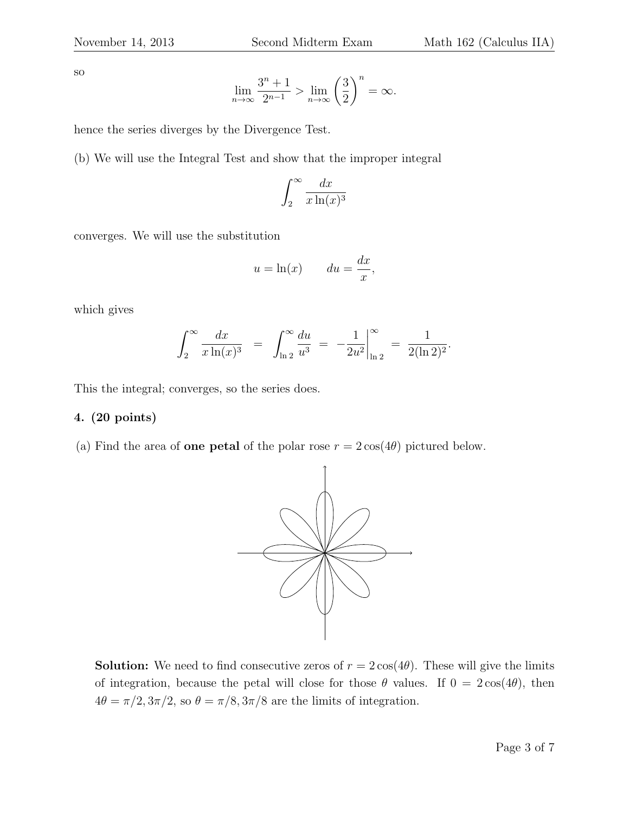so

$$
\lim_{n \to \infty} \frac{3^n + 1}{2^{n-1}} > \lim_{n \to \infty} \left(\frac{3}{2}\right)^n = \infty.
$$

hence the series diverges by the Divergence Test.

(b) We will use the Integral Test and show that the improper integral

$$
\int_2^\infty \frac{dx}{x \ln(x)^3}
$$

converges. We will use the substitution

$$
u = \ln(x) \qquad du = \frac{dx}{x},
$$

which gives

$$
\int_2^{\infty} \frac{dx}{x \ln(x)^3} = \int_{\ln 2}^{\infty} \frac{du}{u^3} = -\frac{1}{2u^2} \Big|_{\ln 2}^{\infty} = \frac{1}{2(\ln 2)^2}.
$$

This the integral; converges, so the series does.

## 4. (20 points)

(a) Find the area of **one petal** of the polar rose  $r = 2\cos(4\theta)$  pictured below.



**Solution:** We need to find consecutive zeros of  $r = 2\cos(4\theta)$ . These will give the limits of integration, because the petal will close for those  $\theta$  values. If  $0 = 2\cos(4\theta)$ , then  $4\theta = \pi/2, 3\pi/2$ , so  $\theta = \pi/8, 3\pi/8$  are the limits of integration.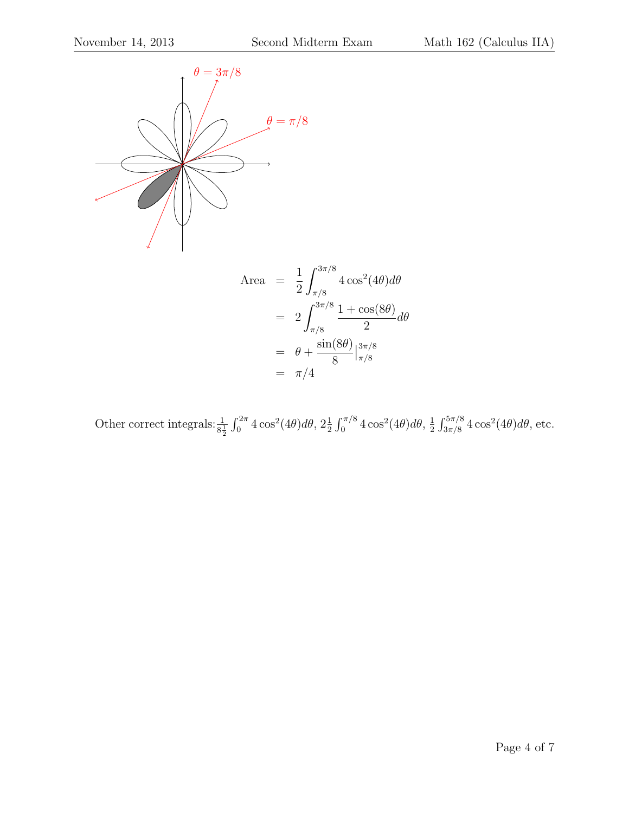

$$
2 \int_{\pi/8}^{1 \cos(16) \pi/8} 2 \int_{\pi/8}^{1 \cos(16) \pi/8} d\theta
$$
  
=  $2 \int_{\pi/8}^{3\pi/8} \frac{1 + \cos(8\theta)}{2} d\theta$   
=  $\theta + \frac{\sin(8\theta)}{8} \Big|_{\pi/8}^{3\pi/8}$   
=  $\pi/4$ 

Other correct integrals:  $\frac{1}{8\frac{1}{2}} \int_0^{2\pi} 4\cos^2(4\theta) d\theta$ ,  $2\frac{1}{2} \int_0^{\pi/8} 4\cos^2(4\theta) d\theta$ ,  $\frac{1}{2}$  $\frac{1}{2} \int_{3\pi/8}^{5\pi/8} 4 \cos^2(4\theta) d\theta$ , etc.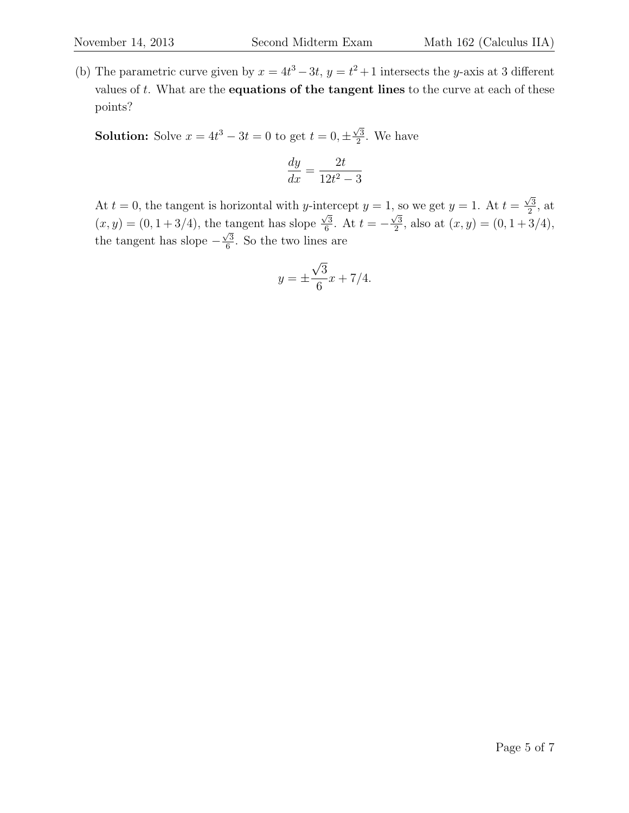(b) The parametric curve given by  $x = 4t^3 - 3t$ ,  $y = t^2 + 1$  intersects the y-axis at 3 different values of  $t$ . What are the **equations of the tangent lines** to the curve at each of these points?

**Solution:** Solve  $x = 4t^3 - 3t = 0$  to get  $t = 0, \pm \frac{\sqrt{3}}{2}$  $\frac{\sqrt{3}}{2}$ . We have

$$
\frac{dy}{dx} = \frac{2t}{12t^2 - 3}
$$

At  $t = 0$ , the tangent is horizontal with y-intercept  $y = 1$ , so we get  $y = 1$ . At  $t =$  $\sqrt{3}$  $\frac{\sqrt{3}}{2}$ , at  $(x, y) = (0, 1 + 3/4)$ , the tangent has slope  $\frac{1}{\sqrt{3}}$  $\frac{\sqrt{3}}{6}$ . At  $t = \sqrt{3}$  $\frac{\sqrt{3}}{2}$ , also at  $(x, y) = (0, 1 + 3/4)$ , the tangent has slope −  $\sqrt{3}$  $\frac{\sqrt{3}}{6}$ . So the two lines are

$$
y = \pm \frac{\sqrt{3}}{6}x + \frac{7}{4}.
$$